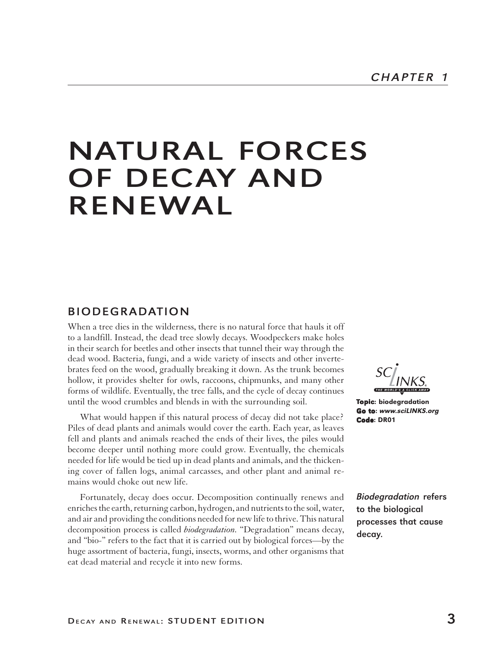# NATURAL FORCES OF DECAY AND RENEWAL

## BIODEGRADATION

When a tree dies in the wilderness, there is no natural force that hauls it off to a landfill. Instead, the dead tree slowly decays. Woodpeckers make holes in their search for beetles and other insects that tunnel their way through the dead wood. Bacteria, fungi, and a wide variety of insects and other invertebrates feed on the wood, gradually breaking it down. As the trunk becomes hollow, it provides shelter for owls, raccoons, chipmunks, and many other forms of wildlife. Eventually, the tree falls, and the cycle of decay continues until the wood crumbles and blends in with the surrounding soil.

What would happen if this natural process of decay did not take place? Piles of dead plants and animals would cover the earth. Each year, as leaves fell and plants and animals reached the ends of their lives, the piles would become deeper until nothing more could grow. Eventually, the chemicals needed for life would be tied up in dead plants and animals, and the thickening cover of fallen logs, animal carcasses, and other plant and animal remains would choke out new life.

Fortunately, decay does occur. Decomposition continually renews and enriches the earth, returning carbon, hydrogen, and nutrients to the soil, water, and air and providing the conditions needed for new life to thrive. This natural decomposition process is called *biodegradation.* "Degradation" means decay, and "bio-" refers to the fact that it is carried out by biological forces—by the huge assortment of bacteria, fungi, insects, worms, and other organisms that eat dead material and recycle it into new forms.

Topic: biodegradation Go to:www.sciLINKS.org Code: DR01

Biodegradation refers to the biological processes that cause decay.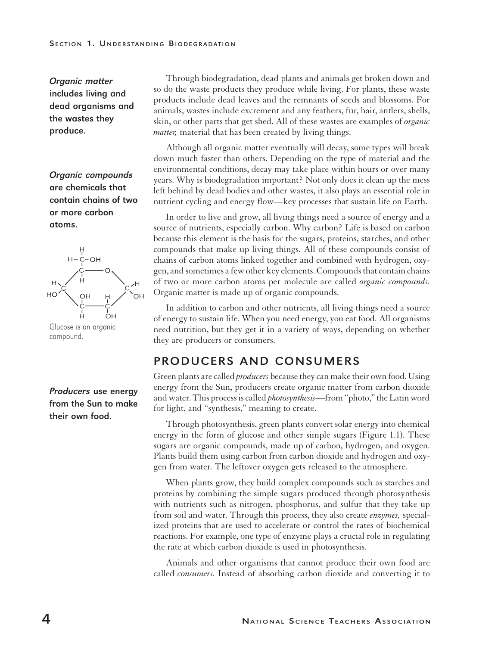#### SECTION 1. UNDERSTANDING BIODEGRADATION

Organic matter includes living and dead organisms and the wastes they produce.

Organic compounds are chemicals that contain chains of two or more carbon atoms.



# compound.

#### Producers use energy from the Sun to make their own food.

Through biodegradation, dead plants and animals get broken down and so do the waste products they produce while living. For plants, these waste products include dead leaves and the remnants of seeds and blossoms. For animals, wastes include excrement and any feathers, fur, hair, antlers, shells, skin, or other parts that get shed. All of these wastes are examples of *organic matter,* material that has been created by living things.

Although all organic matter eventually will decay, some types will break down much faster than others. Depending on the type of material and the environmental conditions, decay may take place within hours or over many years. Why is biodegradation important? Not only does it clean up the mess left behind by dead bodies and other wastes, it also plays an essential role in nutrient cycling and energy flow—key processes that sustain life on Earth.

In order to live and grow, all living things need a source of energy and a source of nutrients, especially carbon. Why carbon? Life is based on carbon because this element is the basis for the sugars, proteins, starches, and other compounds that make up living things. All of these compounds consist of chains of carbon atoms linked together and combined with hydrogen, oxygen, and sometimes a few other key elements. Compounds that contain chains of two or more carbon atoms per molecule are called *organic compounds.* Organic matter is made up of organic compounds.

In addition to carbon and other nutrients, all living things need a source of energy to sustain life. When you need energy, you eat food. All organisms need nutrition, but they get it in a variety of ways, depending on whether they are producers or consumers.

# PRODUCERS AND CONSUMERS

Green plants are called *producers* because they can make their own food. Using energy from the Sun, producers create organic matter from carbon dioxide and water. This process is called *photosynthesis*—from "photo," the Latin word for light, and "synthesis," meaning to create.

Through photosynthesis, green plants convert solar energy into chemical energy in the form of glucose and other simple sugars (Figure 1.1). These sugars are organic compounds, made up of carbon, hydrogen, and oxygen. Plants build them using carbon from carbon dioxide and hydrogen and oxygen from water. The leftover oxygen gets released to the atmosphere.

When plants grow, they build complex compounds such as starches and proteins by combining the simple sugars produced through photosynthesis with nutrients such as nitrogen, phosphorus, and sulfur that they take up from soil and water. Through this process, they also create *enzymes,* specialized proteins that are used to accelerate or control the rates of biochemical reactions. For example, one type of enzyme plays a crucial role in regulating the rate at which carbon dioxide is used in photosynthesis.

Animals and other organisms that cannot produce their own food are called *consumers.* Instead of absorbing carbon dioxide and converting it to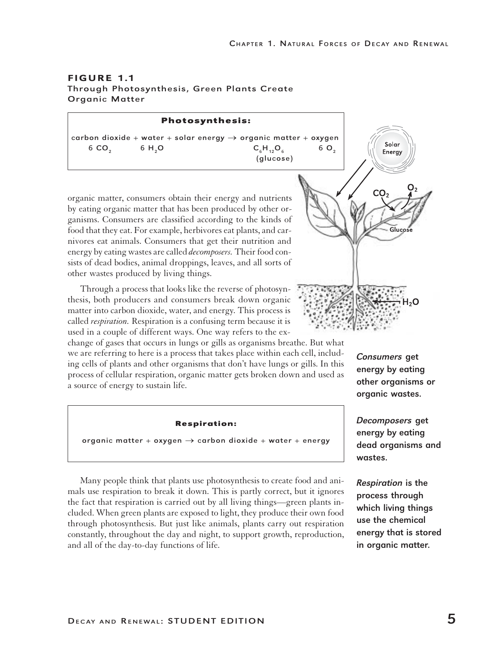#### FIGURE 1.1 Through Photosynthesis, Green Plants Create Organic Matter

**Photosynthesis:** carbon dioxide + water + solar energy  $\rightarrow$  organic matter + oxygen Solar 6 CO<sub>2</sub> 6 H<sub>2</sub>O C<sub>6</sub>H<sub>12</sub>O<sub>6</sub> 6 O<sub>2</sub> Energy (glucose)organic matter, consumers obtain their energy and nutrients by eating organic matter that has been produced by other organisms. Consumers are classified according to the kinds of Gluco food that they eat. For example, herbivores eat plants, and carnivores eat animals. Consumers that get their nutrition and energy by eating wastes are called *decomposers.* Their food con-

sists of dead bodies, animal droppings, leaves, and all sorts of other wastes produced by living things. Through a process that looks like the reverse of photosynthesis, both producers and consumers break down organic matter into carbon dioxide, water, and energy. This process is

called *respiration.* Respiration is a confusing term because it is used in a couple of different ways. One way refers to the exchange of gases that occurs in lungs or gills as organisms breathe. But what

we are referring to here is a process that takes place within each cell, including cells of plants and other organisms that don't have lungs or gills. In this process of cellular respiration, organic matter gets broken down and used as a source of energy to sustain life.

#### **Respiration:**

organic matter + oxygen  $\rightarrow$  carbon dioxide + water + energy

Many people think that plants use photosynthesis to create food and animals use respiration to break it down. This is partly correct, but it ignores the fact that respiration is carried out by all living things—green plants included. When green plants are exposed to light, they produce their own food through photosynthesis. But just like animals, plants carry out respiration constantly, throughout the day and night, to support growth, reproduction, and all of the day-to-day functions of life.

Consumers get energy by eating other organisms or organic wastes.

Decomposers get energy by eating dead organisms and wastes.

Respiration is the process through which living things use the chemical energy that is stored in organic matter.

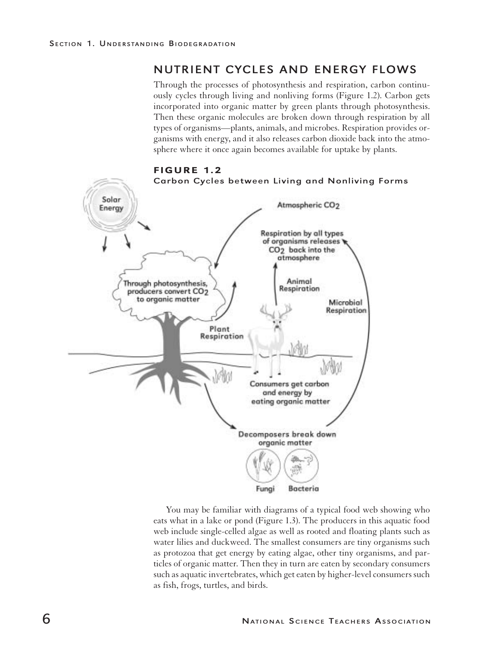# NUTRIENT CYCLES AND ENERGY FLOWS

Through the processes of photosynthesis and respiration, carbon continuously cycles through living and nonliving forms (Figure 1.2). Carbon gets incorporated into organic matter by green plants through photosynthesis. Then these organic molecules are broken down through respiration by all types of organisms—plants, animals, and microbes. Respiration provides organisms with energy, and it also releases carbon dioxide back into the atmosphere where it once again becomes available for uptake by plants.



You may be familiar with diagrams of a typical food web showing who eats what in a lake or pond (Figure 1.3). The producers in this aquatic food web include single-celled algae as well as rooted and floating plants such as water lilies and duckweed. The smallest consumers are tiny organisms such as protozoa that get energy by eating algae, other tiny organisms, and particles of organic matter. Then they in turn are eaten by secondary consumers such as aquatic invertebrates, which get eaten by higher-level consumers such as fish, frogs, turtles, and birds.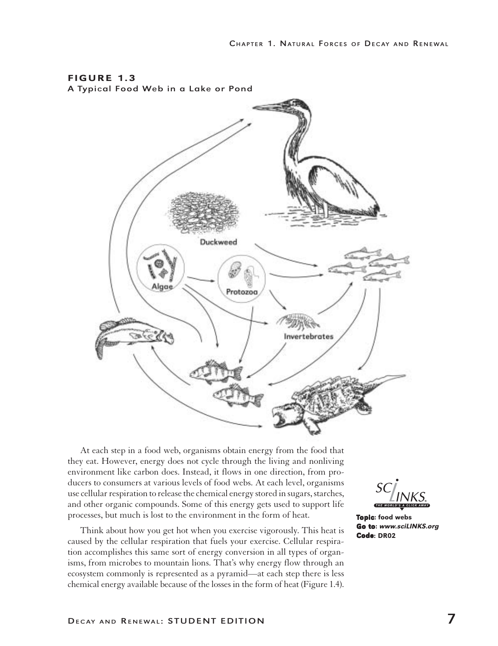

At each step in a food web, organisms obtain energy from the food that they eat. However, energy does not cycle through the living and nonliving environment like carbon does. Instead, it flows in one direction, from producers to consumers at various levels of food webs. At each level, organisms use cellular respiration to release the chemical energy stored in sugars, starches, and other organic compounds. Some of this energy gets used to support life processes, but much is lost to the environment in the form of heat.

Think about how you get hot when you exercise vigorously. This heat is caused by the cellular respiration that fuels your exercise. Cellular respiration accomplishes this same sort of energy conversion in all types of organisms, from microbes to mountain lions. That's why energy flow through an ecosystem commonly is represented as a pyramid—at each step there is less chemical energy available because of the losses in the form of heat (Figure 1.4).

Topic: food webs Go to:www.sciLINKS.org Code: DR02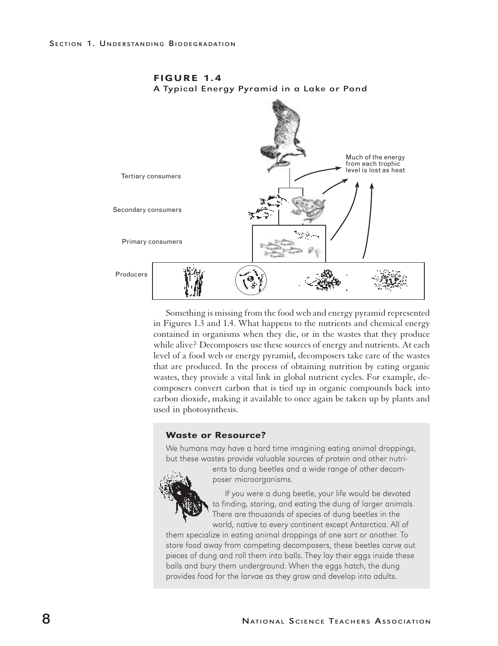

FIGURE 1.4 A Typical Energy Pyramid in a Lake or Pond

Something is missing from the food web and energy pyramid represented in Figures 1.3 and 1.4. What happens to the nutrients and chemical energy contained in organisms when they die, or in the wastes that they produce while alive? Decomposers use these sources of energy and nutrients. At each level of a food web or energy pyramid, decomposers take care of the wastes that are produced. In the process of obtaining nutrition by eating organic wastes, they provide a vital link in global nutrient cycles. For example, decomposers convert carbon that is tied up in organic compounds back into carbon dioxide, making it available to once again be taken up by plants and used in photosynthesis.

#### Waste or Resource?

We humans may have a hard time imagining eating animal droppings, but these wastes provide valuable sources of protein and other nutri-



ents to dung beetles and a wide range of other decomposer microorganisms.

If you were a dung beetle, your life would be devoted to finding, storing, and eating the dung of larger animals. There are thousands of species of dung beetles in the world, native to every continent except Antarctica. All of

them specialize in eating animal droppings of one sort or another. To store food away from competing decomposers, these beetles carve out pieces of dung and roll them into balls. They lay their eggs inside these balls and bury them underground. When the eggs hatch, the dung provides food for the larvae as they grow and develop into adults.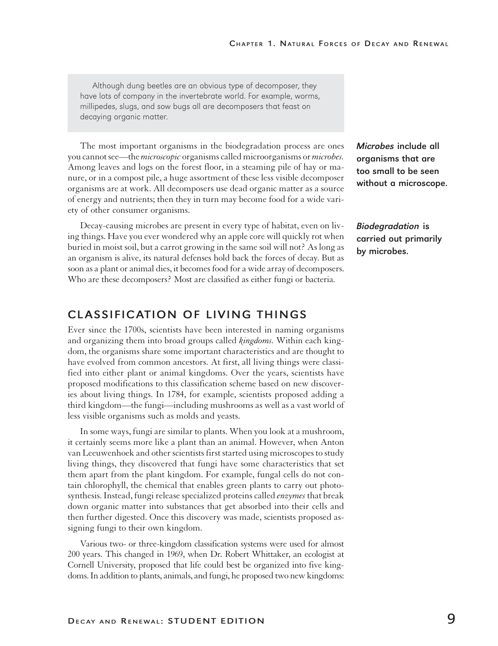Although dung beetles are an obvious type of decomposer, they have lots of company in the invertebrate world. For example, worms, millipedes, slugs, and sow bugs all are decomposers that feast on decaying organic matter.

The most important organisms in the biodegradation process are ones you cannot see—the *microscopic* organisms called microorganisms or *microbes.* Among leaves and logs on the forest floor, in a steaming pile of hay or manure, or in a compost pile, a huge assortment of these less visible decomposer organisms are at work. All decomposers use dead organic matter as a source of energy and nutrients; then they in turn may become food for a wide variety of other consumer organisms.

Decay-causing microbes are present in every type of habitat, even on living things. Have you ever wondered why an apple core will quickly rot when buried in moist soil, but a carrot growing in the same soil will not? As long as an organism is alive, its natural defenses hold back the forces of decay. But as soon as a plant or animal dies, it becomes food for a wide array of decomposers. Who are these decomposers? Most are classified as either fungi or bacteria.

# CLASSIFICATION OF LIVING THINGS

Ever since the 1700s, scientists have been interested in naming organisms and organizing them into broad groups called *kingdoms.* Within each kingdom, the organisms share some important characteristics and are thought to have evolved from common ancestors. At first, all living things were classified into either plant or animal kingdoms. Over the years, scientists have proposed modifications to this classification scheme based on new discoveries about living things. In 1784, for example, scientists proposed adding a third kingdom—the fungi—including mushrooms as well as a vast world of less visible organisms such as molds and yeasts.

In some ways, fungi are similar to plants. When you look at a mushroom, it certainly seems more like a plant than an animal. However, when Anton van Leeuwenhoek and other scientists first started using microscopes to study living things, they discovered that fungi have some characteristics that set them apart from the plant kingdom. For example, fungal cells do not contain chlorophyll, the chemical that enables green plants to carry out photosynthesis. Instead, fungi release specialized proteins called *enzymes* that break down organic matter into substances that get absorbed into their cells and then further digested. Once this discovery was made, scientists proposed assigning fungi to their own kingdom.

Various two- or three-kingdom classification systems were used for almost 200 years. This changed in 1969, when Dr. Robert Whittaker, an ecologist at Cornell University, proposed that life could best be organized into five kingdoms. In addition to plants, animals, and fungi, he proposed two new kingdoms: Microbes include all organisms that are too small to be seen without a microscope.

Biodegradation is carried out primarily by microbes.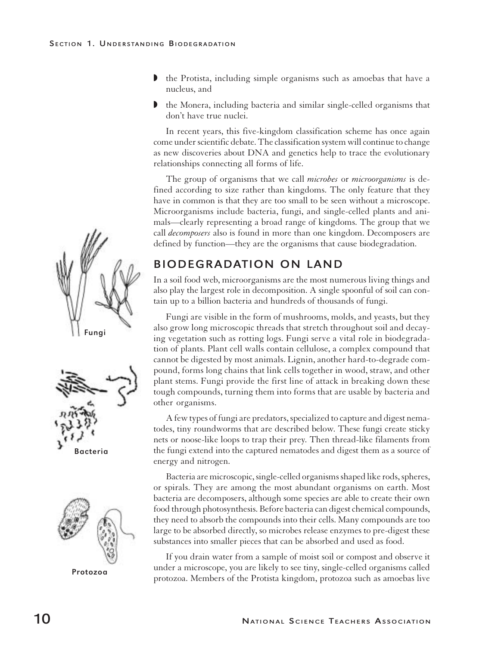- w the Protista, including simple organisms such as amoebas that have a nucleus, and
- $\blacktriangleright$  the Monera, including bacteria and similar single-celled organisms that don't have true nuclei.

In recent years, this five-kingdom classification scheme has once again come under scientific debate. The classification system will continue to change as new discoveries about DNA and genetics help to trace the evolutionary relationships connecting all forms of life.

The group of organisms that we call *microbes* or *microorganisms* is defined according to size rather than kingdoms. The only feature that they have in common is that they are too small to be seen without a microscope. Microorganisms include bacteria, fungi, and single-celled plants and animals—clearly representing a broad range of kingdoms. The group that we call *decomposers* also is found in more than one kingdom. Decomposers are defined by function—they are the organisms that cause biodegradation.

# BIODEGRADATION ON LAND

In a soil food web, microorganisms are the most numerous living things and also play the largest role in decomposition. A single spoonful of soil can contain up to a billion bacteria and hundreds of thousands of fungi.

Fungi are visible in the form of mushrooms, molds, and yeasts, but they also grow long microscopic threads that stretch throughout soil and decaying vegetation such as rotting logs. Fungi serve a vital role in biodegradation of plants. Plant cell walls contain cellulose, a complex compound that cannot be digested by most animals. Lignin, another hard-to-degrade compound, forms long chains that link cells together in wood, straw, and other plant stems. Fungi provide the first line of attack in breaking down these tough compounds, turning them into forms that are usable by bacteria and other organisms.

A few types of fungi are predators, specialized to capture and digest nematodes, tiny roundworms that are described below. These fungi create sticky nets or noose-like loops to trap their prey. Then thread-like filaments from the fungi extend into the captured nematodes and digest them as a source of energy and nitrogen.

Bacteria are microscopic, single-celled organisms shaped like rods, spheres, or spirals. They are among the most abundant organisms on earth. Most bacteria are decomposers, although some species are able to create their own food through photosynthesis. Before bacteria can digest chemical compounds, they need to absorb the compounds into their cells. Many compounds are too large to be absorbed directly, so microbes release enzymes to pre-digest these substances into smaller pieces that can be absorbed and used as food.

If you drain water from a sample of moist soil or compost and observe it under a microscope, you are likely to see tiny, single-celled organisms called protozoa. Members of the Protista kingdom, protozoa such as amoebas live







Protozoa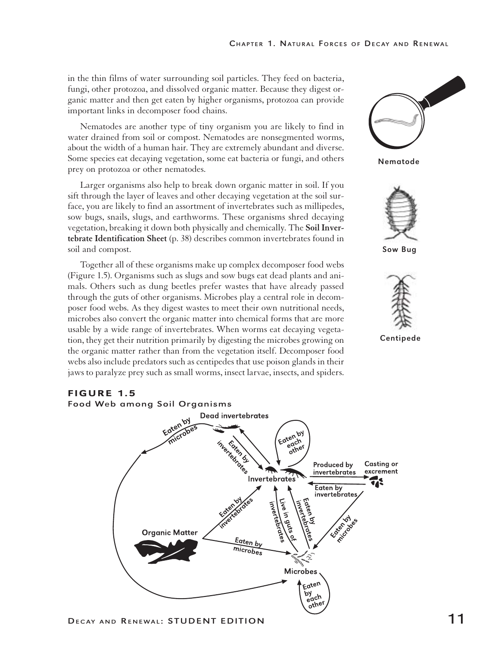in the thin films of water surrounding soil particles. They feed on bacteria, fungi, other protozoa, and dissolved organic matter. Because they digest organic matter and then get eaten by higher organisms, protozoa can provide important links in decomposer food chains.

Nematodes are another type of tiny organism you are likely to find in water drained from soil or compost. Nematodes are nonsegmented worms, about the width of a human hair. They are extremely abundant and diverse. Some species eat decaying vegetation, some eat bacteria or fungi, and others prey on protozoa or other nematodes.

Larger organisms also help to break down organic matter in soil. If you sift through the layer of leaves and other decaying vegetation at the soil surface, you are likely to find an assortment of invertebrates such as millipedes, sow bugs, snails, slugs, and earthworms. These organisms shred decaying vegetation, breaking it down both physically and chemically. The **Soil Invertebrate Identification Sheet** (p. 38) describes common invertebrates found in soil and compost.

Together all of these organisms make up complex decomposer food webs (Figure 1.5). Organisms such as slugs and sow bugs eat dead plants and animals. Others such as dung beetles prefer wastes that have already passed through the guts of other organisms. Microbes play a central role in decomposer food webs. As they digest wastes to meet their own nutritional needs, microbes also convert the organic matter into chemical forms that are more usable by a wide range of invertebrates. When worms eat decaying vegetation, they get their nutrition primarily by digesting the microbes growing on the organic matter rather than from the vegetation itself. Decomposer food webs also include predators such as centipedes that use poison glands in their jaws to paralyze prey such as small worms, insect larvae, insects, and spiders.



Nematode



Sow Bug



Centipede

#### FIGURE 1.5



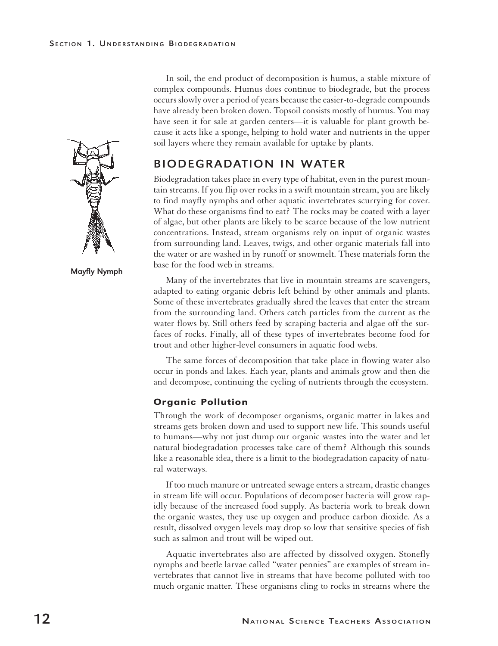

Mayfly Nymph

In soil, the end product of decomposition is humus, a stable mixture of complex compounds. Humus does continue to biodegrade, but the process occurs slowly over a period of years because the easier-to-degrade compounds have already been broken down. Topsoil consists mostly of humus. You may have seen it for sale at garden centers—it is valuable for plant growth because it acts like a sponge, helping to hold water and nutrients in the upper soil layers where they remain available for uptake by plants.

# BIODEGRADATION IN WATER

Biodegradation takes place in every type of habitat, even in the purest mountain streams. If you flip over rocks in a swift mountain stream, you are likely to find mayfly nymphs and other aquatic invertebrates scurrying for cover. What do these organisms find to eat? The rocks may be coated with a layer of algae, but other plants are likely to be scarce because of the low nutrient concentrations. Instead, stream organisms rely on input of organic wastes from surrounding land. Leaves, twigs, and other organic materials fall into the water or are washed in by runoff or snowmelt. These materials form the base for the food web in streams.

Many of the invertebrates that live in mountain streams are scavengers, adapted to eating organic debris left behind by other animals and plants. Some of these invertebrates gradually shred the leaves that enter the stream from the surrounding land. Others catch particles from the current as the water flows by. Still others feed by scraping bacteria and algae off the surfaces of rocks. Finally, all of these types of invertebrates become food for trout and other higher-level consumers in aquatic food webs.

The same forces of decomposition that take place in flowing water also occur in ponds and lakes. Each year, plants and animals grow and then die and decompose, continuing the cycling of nutrients through the ecosystem.

#### Organic Pollution

Through the work of decomposer organisms, organic matter in lakes and streams gets broken down and used to support new life. This sounds useful to humans—why not just dump our organic wastes into the water and let natural biodegradation processes take care of them? Although this sounds like a reasonable idea, there is a limit to the biodegradation capacity of natural waterways.

If too much manure or untreated sewage enters a stream, drastic changes in stream life will occur. Populations of decomposer bacteria will grow rapidly because of the increased food supply. As bacteria work to break down the organic wastes, they use up oxygen and produce carbon dioxide. As a result, dissolved oxygen levels may drop so low that sensitive species of fish such as salmon and trout will be wiped out.

Aquatic invertebrates also are affected by dissolved oxygen. Stonefly nymphs and beetle larvae called "water pennies" are examples of stream invertebrates that cannot live in streams that have become polluted with too much organic matter. These organisms cling to rocks in streams where the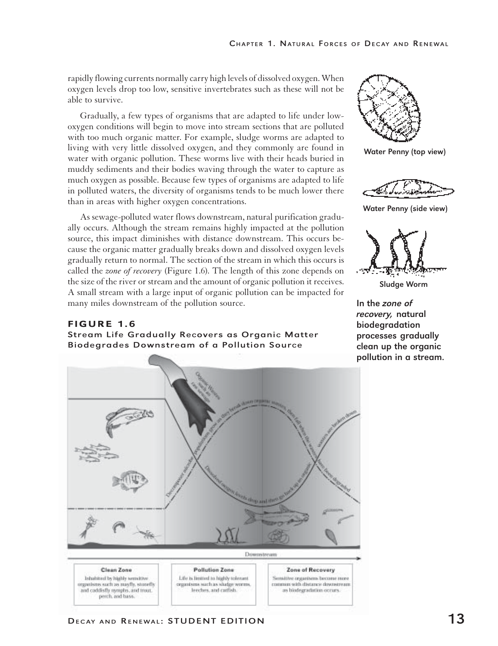rapidly flowing currents normally carry high levels of dissolved oxygen. When oxygen levels drop too low, sensitive invertebrates such as these will not be able to survive.

Gradually, a few types of organisms that are adapted to life under lowoxygen conditions will begin to move into stream sections that are polluted with too much organic matter. For example, sludge worms are adapted to living with very little dissolved oxygen, and they commonly are found in water with organic pollution. These worms live with their heads buried in muddy sediments and their bodies waving through the water to capture as much oxygen as possible. Because few types of organisms are adapted to life in polluted waters, the diversity of organisms tends to be much lower there than in areas with higher oxygen concentrations.

As sewage-polluted water flows downstream, natural purification gradually occurs. Although the stream remains highly impacted at the pollution source, this impact diminishes with distance downstream. This occurs because the organic matter gradually breaks down and dissolved oxygen levels gradually return to normal. The section of the stream in which this occurs is called the *zone of recovery* (Figure 1.6). The length of this zone depends on the size of the river or stream and the amount of organic pollution it receives. A small stream with a large input of organic pollution can be impacted for many miles downstream of the pollution source.

#### FIGURE 1.6 Stream Life Gradually Recovers as Organic Matter Biodegrades Downstream of a Pollution Source





Water Penny (top view)



Water Penny (side view)



Sludge Worm

In the zone of recovery, natural biodegradation processes gradually clean up the organic pollution in a stream.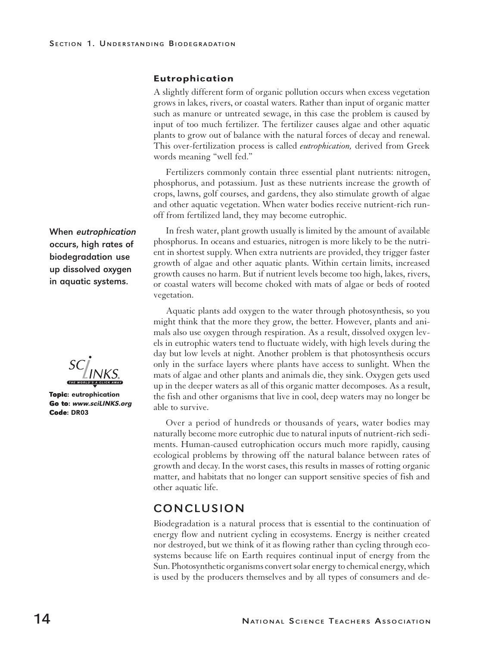#### Eutrophication

A slightly different form of organic pollution occurs when excess vegetation grows in lakes, rivers, or coastal waters. Rather than input of organic matter such as manure or untreated sewage, in this case the problem is caused by input of too much fertilizer. The fertilizer causes algae and other aquatic plants to grow out of balance with the natural forces of decay and renewal. This over-fertilization process is called *eutrophication,* derived from Greek words meaning "well fed."

Fertilizers commonly contain three essential plant nutrients: nitrogen, phosphorus, and potassium. Just as these nutrients increase the growth of crops, lawns, golf courses, and gardens, they also stimulate growth of algae and other aquatic vegetation. When water bodies receive nutrient-rich runoff from fertilized land, they may become eutrophic.

In fresh water, plant growth usually is limited by the amount of available phosphorus. In oceans and estuaries, nitrogen is more likely to be the nutrient in shortest supply. When extra nutrients are provided, they trigger faster growth of algae and other aquatic plants. Within certain limits, increased growth causes no harm. But if nutrient levels become too high, lakes, rivers, or coastal waters will become choked with mats of algae or beds of rooted vegetation.

Aquatic plants add oxygen to the water through photosynthesis, so you might think that the more they grow, the better. However, plants and animals also use oxygen through respiration. As a result, dissolved oxygen levels in eutrophic waters tend to fluctuate widely, with high levels during the day but low levels at night. Another problem is that photosynthesis occurs only in the surface layers where plants have access to sunlight. When the mats of algae and other plants and animals die, they sink. Oxygen gets used up in the deeper waters as all of this organic matter decomposes. As a result, the fish and other organisms that live in cool, deep waters may no longer be able to survive.

Over a period of hundreds or thousands of years, water bodies may naturally become more eutrophic due to natural inputs of nutrient-rich sediments. Human-caused eutrophication occurs much more rapidly, causing ecological problems by throwing off the natural balance between rates of growth and decay. In the worst cases, this results in masses of rotting organic matter, and habitats that no longer can support sensitive species of fish and other aquatic life.

### CONCLUSION

Biodegradation is a natural process that is essential to the continuation of energy flow and nutrient cycling in ecosystems. Energy is neither created nor destroyed, but we think of it as flowing rather than cycling through ecosystems because life on Earth requires continual input of energy from the Sun. Photosynthetic organisms convert solar energy to chemical energy, which is used by the producers themselves and by all types of consumers and de-

When eutrophication occurs, high rates of biodegradation use up dissolved oxygen in aquatic systems.

**Topic:** eutrophication Go to:www.sciLINKS.org Code: DR03